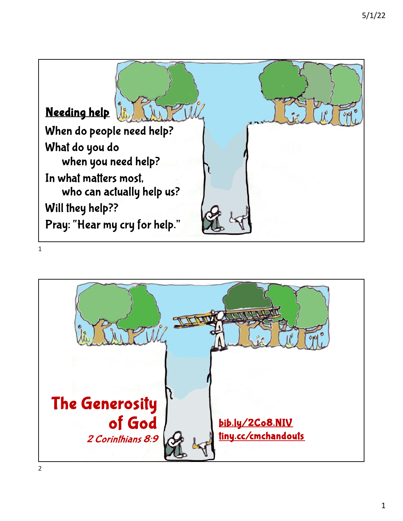

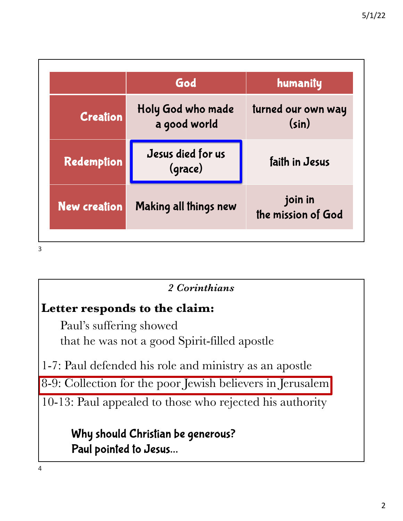|                     | God                               | humanity                      |
|---------------------|-----------------------------------|-------------------------------|
| <b>Creation</b>     | Holy God who made<br>a good world | turned our own way<br>(sin)   |
| Redemption          | Jesus died for us<br>(grace)      | faith in Jesus                |
| <b>New creation</b> | Making all things new             | join in<br>the mission of God |

# *2 Corinthians*

# **Letter responds to the claim:**

Paul's suffering showed that he was not a good Spirit-filled apostle

1-7: Paul defended his role and ministry as an apostle

8-9: Collection for the poor Jewish believers in Jerusalem

10-13: Paul appealed to those who rejected his authority

Why should Christian be generous? Paul pointed to Jesus…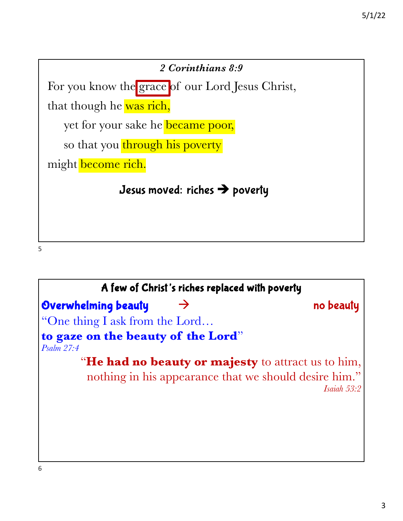

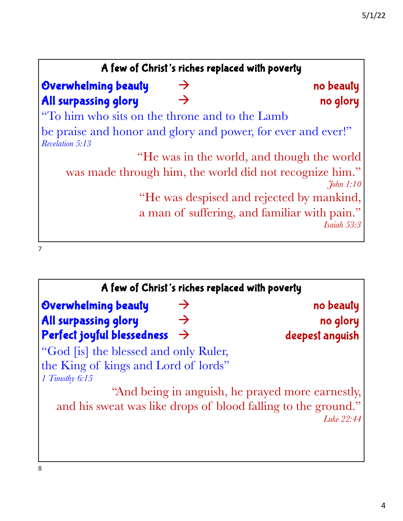| A few of Christ's riches replaced with poverty                                         |                  |
|----------------------------------------------------------------------------------------|------------------|
| <b>Overwhelming beauty</b><br>$\rightarrow$                                            | no beauty        |
| All surpassing glory<br>$\rightarrow$                                                  | no glory         |
| "To him who sits on the throne and to the Lamb"                                        |                  |
| be praise and honor and glory and power, for ever and ever!"<br><b>Revelation 5:13</b> |                  |
| "He was in the world, and though the world                                             |                  |
| was made through him, the world did not recognize him."                                | $\int$ fohn 1:10 |
| "He was despised and rejected by mankind,                                              |                  |
| a man of suffering, and familiar with pain."                                           |                  |
|                                                                                        | Isaiah 53:3      |
|                                                                                        |                  |

|                                              | A few of Christ's riches replaced with poverty                |
|----------------------------------------------|---------------------------------------------------------------|
| Overwhelming beauty<br>$\rightarrow$         | no beauty                                                     |
| <b>All surpassing glory</b><br>$\rightarrow$ | no glory                                                      |
| Perfect joyful blessedness<br>$\rightarrow$  | deepest anguish                                               |
| "God [is] the blessed and only Ruler,        |                                                               |
| the King of kings and Lord of lords"         |                                                               |
| $1$ Timothy $6:15$                           |                                                               |
|                                              | "And being in anguish, he prayed more earnestly,              |
|                                              | and his sweat was like drops of blood falling to the ground." |
|                                              | Luke $22:44$                                                  |
|                                              |                                                               |
|                                              |                                                               |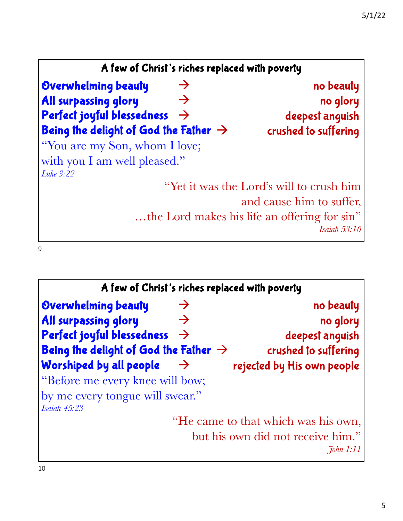| A few of Christ's riches replaced with poverty    |                                              |
|---------------------------------------------------|----------------------------------------------|
| Overwhelming beauty<br>$\rightarrow$              | no beauty                                    |
| <b>All surpassing glory</b><br>$\rightarrow$      | no glory                                     |
| Perfect joyful blessedness<br>$\rightarrow$       | deepest anguish                              |
| Being the delight of God the Father $\rightarrow$ | crushed to suffering                         |
| "You are my Son, whom I love;                     |                                              |
| with you I am well pleased."                      |                                              |
| Luke 3:22                                         |                                              |
|                                                   | "Yet it was the Lord's will to crush him     |
|                                                   | and cause him to suffer,                     |
|                                                   | the Lord makes his life an offering for sin" |
|                                                   | <i>Isaiah</i> 53:10                          |

| A few of Christ's riches replaced with poverty    |                                                   |
|---------------------------------------------------|---------------------------------------------------|
| Overwhelming beauty<br>$\rightarrow$              | no beauty                                         |
| <b>All surpassing glory</b><br>$\rightarrow$      | no glory                                          |
| Perfect joyful blessedness<br>$\rightarrow$       | deepest anguish                                   |
| Being the delight of God the Father $\rightarrow$ | crushed to suffering                              |
| Worshiped by all people<br>$\rightarrow$          | rejected by His own people                        |
| "Before me every knee will bow;                   |                                                   |
| by me every tongue will swear."                   |                                                   |
| <b>Isaiah 45:23</b>                               |                                                   |
|                                                   | "He came to that which was his own,               |
|                                                   | but his own did not receive him."<br>$7$ ohn 1:11 |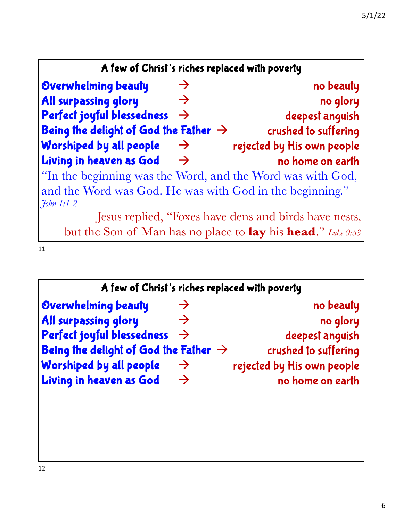| A few of Christ's riches replaced with poverty    |               |                                                                            |
|---------------------------------------------------|---------------|----------------------------------------------------------------------------|
| Overwhelming beauty                               | $\rightarrow$ | no beauty                                                                  |
| All surpassing glory                              | $\rightarrow$ | no glory                                                                   |
| Perfect joyful blessedness                        | $\rightarrow$ | deepest anguish                                                            |
| Being the delight of God the Father $\rightarrow$ |               | crushed to suffering                                                       |
| Worshiped by all people                           | $\rightarrow$ | rejected by His own people                                                 |
| Living in heaven as God                           | $\rightarrow$ | no home on earth                                                           |
|                                                   |               | "In the beginning was the Word, and the Word was with God,                 |
|                                                   |               | and the Word was God. He was with God in the beginning."                   |
| $7$ ohn 1:1-2                                     |               |                                                                            |
|                                                   |               | Jesus replied, "Foxes have dens and birds have nests,                      |
|                                                   |               | but the Son of Man has no place to <b>lay</b> his <b>head.</b> " Luke 9:53 |

 $\frac{1}{11}$ 

|                                                   |               | A few of Christ's riches replaced with poverty |
|---------------------------------------------------|---------------|------------------------------------------------|
| Overwhelming beauty                               | $\rightarrow$ | no beauty                                      |
| <b>All surpassing glory</b>                       | $\rightarrow$ | no glory                                       |
| Perfect joyful blessedness                        | $\rightarrow$ | deepest anguish                                |
| Being the delight of God the Father $\rightarrow$ |               | crushed to suffering                           |
| <b>Worshiped by all people</b>                    | $\rightarrow$ | rejected by His own people                     |
| Living in heaven as God                           | $\rightarrow$ | no home on earth                               |
|                                                   |               |                                                |
|                                                   |               |                                                |
|                                                   |               |                                                |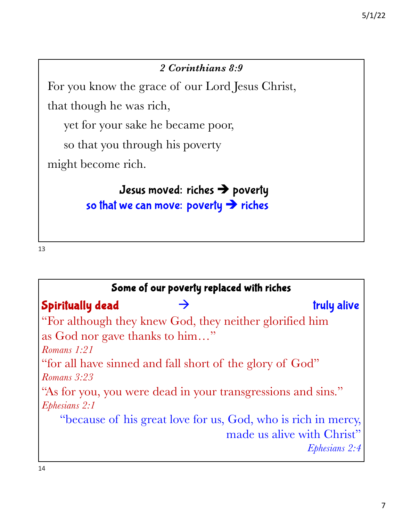#### *2 Corinthians 8:9*

For you know the grace of our Lord Jesus Christ,

that though he was rich,

yet for your sake he became poor,

so that you through his poverty

might become rich.

Jesus moved: riches  $\rightarrow$  poverty so that we can move: poverty  $\rightarrow$  riches

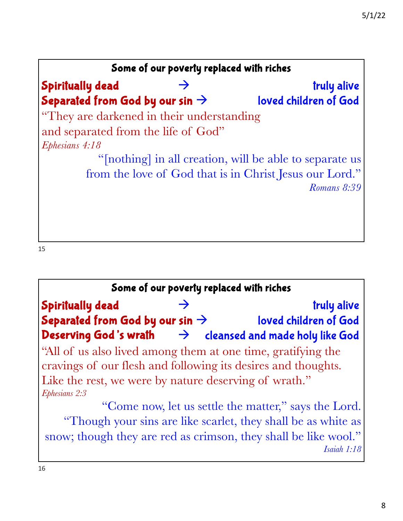

## Some of our poverty replaced with riches Spiritually dead Separated from God by our sin  $\rightarrow$ Deserving God's wrath "All of us also lived among them at one time, gratifying the cravings of our flesh and following its desires and thoughts. Like the rest, we were by nature deserving of wrath." *Ephesians 2:3* "Come now, let us settle the matter," says the Lord. "Though your sins are like scarlet, they shall be as white as  $\rightarrow$  truly alive loved children of God  $\rightarrow$  cleansed and made holy like God

snow; though they are red as crimson, they shall be like wool." *Isaiah 1:18*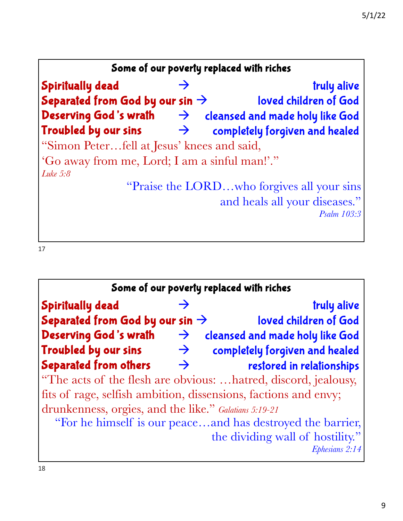

| Some of our poverty replaced with riches              |               |                                                                 |
|-------------------------------------------------------|---------------|-----------------------------------------------------------------|
| <b>Spiritually dead</b>                               |               | truly alive                                                     |
| Separated from God by our sin $\rightarrow$           |               | loved children of God                                           |
| Deserving God's wrath                                 | $\rightarrow$ | cleansed and made holy like God                                 |
| Troubled by our sins                                  | $\rightarrow$ | completely forgiven and healed                                  |
| <b>Separated from others</b>                          | $\rightarrow$ | restored in relationships                                       |
|                                                       |               | "The acts of the flesh are obvious: hatred, discord, jealousy,  |
|                                                       |               | fits of rage, selfish ambition, dissensions, factions and envy; |
| drunkenness, orgies, and the like." Galatians 5:19-21 |               |                                                                 |
|                                                       |               | "For he himself is our peaceand has destroyed the barrier,      |
|                                                       |               | the dividing wall of hostility."                                |
|                                                       |               | Ephesians 2:14                                                  |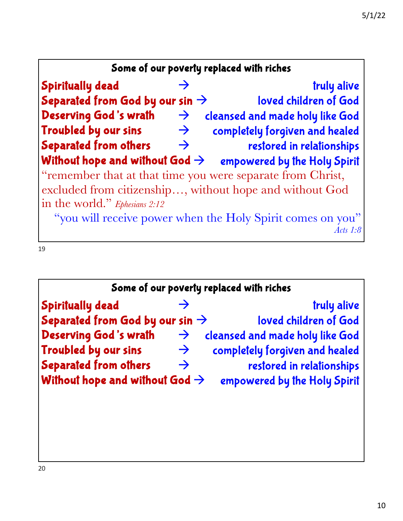| Some of our poverty replaced with riches    |               |                                                            |
|---------------------------------------------|---------------|------------------------------------------------------------|
| <b>Spiritually dead</b>                     |               | truly alive                                                |
| Separated from God by our sin $\rightarrow$ |               | loved children of God                                      |
| <b>Deserving God's wrath</b>                | $\rightarrow$ | cleansed and made holy like God                            |
| Troubled by our sins                        | $\rightarrow$ | completely forgiven and healed                             |
| Separated from others                       | $\rightarrow$ | restored in relationships                                  |
| Without hope and without God $\rightarrow$  |               | empowered by the Holy Spirit                               |
|                                             |               | "remember that at that time you were separate from Christ, |
|                                             |               | excluded from citizenship, without hope and without God    |
| in the world." Ephesians 2:12               |               |                                                            |
|                                             |               | "you will receive power when the Holy Spirit comes on you" |
|                                             |               | Acts 1:8                                                   |

|                                             |               | Some of our poverty replaced with riches |
|---------------------------------------------|---------------|------------------------------------------|
| <b>Spiritually dead</b>                     |               | truly alive                              |
| Separated from God by our sin $\rightarrow$ |               | loved children of God                    |
| <b>Deserving God's wrath</b>                | $\rightarrow$ | cleansed and made holy like God          |
| Troubled by our sins                        | $\rightarrow$ | completely forgiven and healed           |
| <b>Separated from others</b>                | $\rightarrow$ | restored in relationships                |
| Without hope and without God $\rightarrow$  |               | empowered by the Holy Spirit             |
|                                             |               |                                          |
|                                             |               |                                          |
|                                             |               |                                          |
|                                             |               |                                          |

I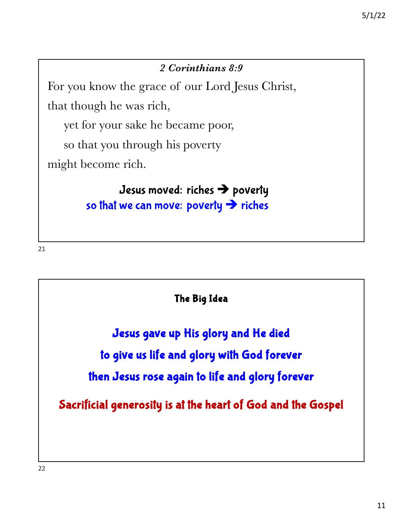#### *2 Corinthians 8:9*

For you know the grace of our Lord Jesus Christ,

that though he was rich,

yet for your sake he became poor,

so that you through his poverty

might become rich.

Jesus moved: riches  $\rightarrow$  poverty so that we can move: poverty  $\rightarrow$  riches

21

The Big Idea

Jesus gave up His glory and He died to give us life and glory with God forever then Jesus rose again to life and glory forever

Sacrificial generosity is at the heart of God and the Gospel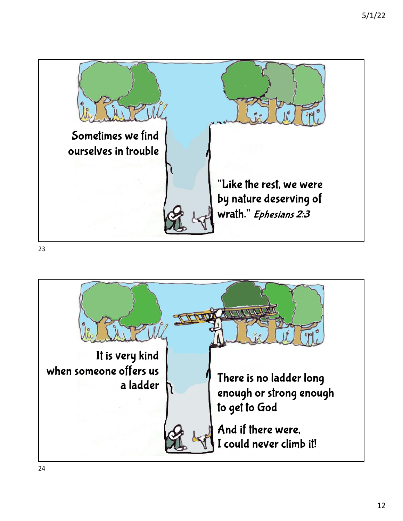

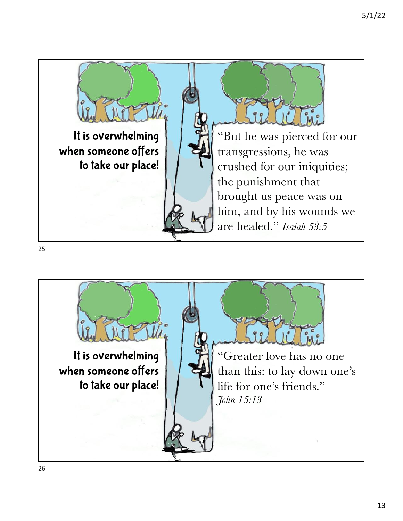

![](_page_12_Picture_2.jpeg)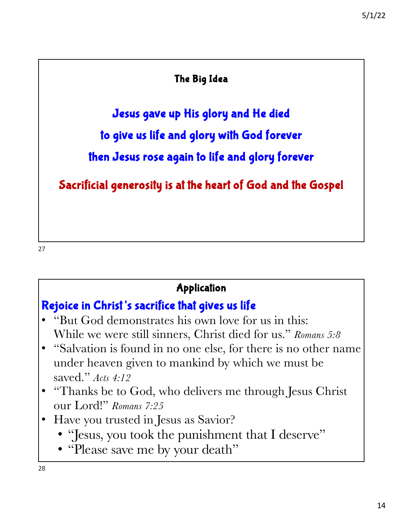#### The Big Idea

Jesus gave up His glory and He died

to give us life and glory with God forever

then Jesus rose again to life and glory forever

Sacrificial generosity is at the heart of God and the Gospel

27

## Application

# Rejoice in Christ's sacrifice that gives us life

- "But God demonstrates his own love for us in this: While we were still sinners, Christ died for us." *Romans 5:8*
- "Salvation is found in no one else, for there is no other name under heaven given to mankind by which we must be saved." *Acts 4:12*
- "Thanks be to God, who delivers me through Jesus Christ our Lord!" *Romans 7:25*
- Have you trusted in Jesus as Savior?
	- "Jesus, you took the punishment that I deserve"
	- "Please save me by your death"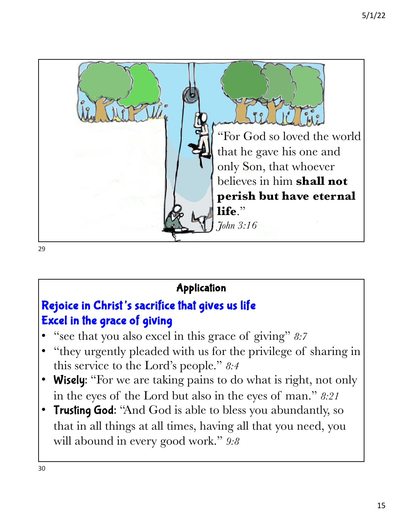![](_page_14_Picture_1.jpeg)

# Application

# Rejoice in Christ's sacrifice that gives us life Excel in the grace of giving

- "see that you also excel in this grace of giving" *8:7*
- "they urgently pleaded with us for the privilege of sharing in this service to the Lord's people." *8:4*
- Wisely: "For we are taking pains to do what is right, not only in the eyes of the Lord but also in the eyes of man." *8:21*
- Trusting God: "And God is able to bless you abundantly, so that in all things at all times, having all that you need, you will abound in every good work." *9:8*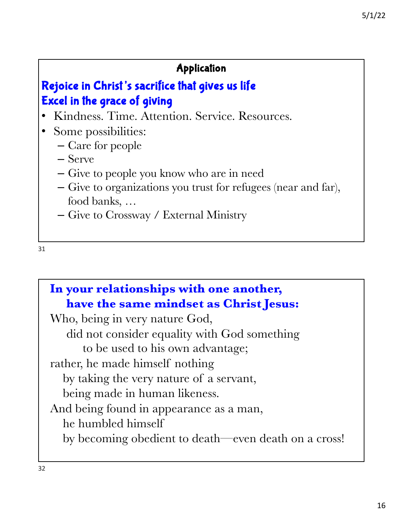## Application

# Rejoice in Christ's sacrifice that gives us life Excel in the grace of giving

- Kindness. Time. Attention. Service. Resources.
- Some possibilities:
	- Care for people
	- Serve
	- Give to people you know who are in need
	- Give to organizations you trust for refugees (near and far), food banks, …
	- Give to Crossway / External Ministry

```
In your relationships with one another, 
  have the same mindset as Christ Jesus:
Who, being in very nature God,
   did not consider equality with God something 
      to be used to his own advantage;
rather, he made himself nothing
  by taking the very nature of a servant,
  being made in human likeness.
And being found in appearance as a man,
  he humbled himself
  by becoming obedient to death—even death on a cross!
```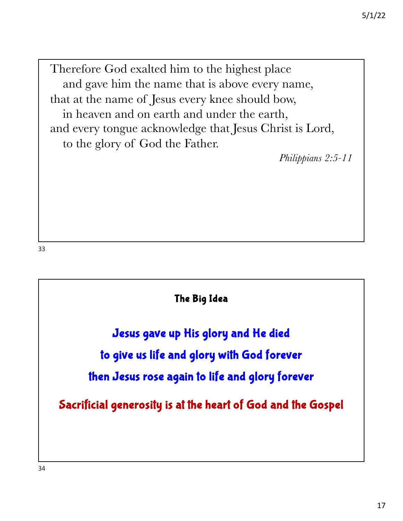Therefore God exalted him to the highest place and gave him the name that is above every name, that at the name of Jesus every knee should bow, in heaven and on earth and under the earth, and every tongue acknowledge that Jesus Christ is Lord, to the glory of God the Father.

*Philippians 2:5-11*

33

The Big Idea Jesus gave up His glory and He died to give us life and glory with God forever then Jesus rose again to life and glory forever Sacrificial generosity is at the heart of God and the Gospel